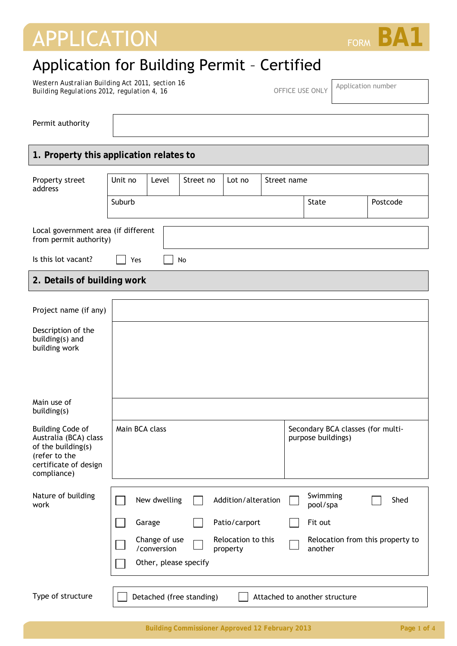# APPLICATION FORM **BA1**

## Application for Building Permit – Certified

*Western Australian Building Act 2011, section 16 Building Regulations 2012, regulation 4, 16* OFFICE USE ONLY Application number<br>Building Regulations 2012, regulation 4, 16

Permit authority

### **1. Property this application relates to**

| Property street<br>address                                                                                                      | Unit no        | Level                        | Street no                | Lot no                         | Street name |                                                         |          |  |
|---------------------------------------------------------------------------------------------------------------------------------|----------------|------------------------------|--------------------------|--------------------------------|-------------|---------------------------------------------------------|----------|--|
|                                                                                                                                 | Suburb         |                              |                          |                                |             | State                                                   | Postcode |  |
| Local government area (if different<br>from permit authority)                                                                   |                |                              |                          |                                |             |                                                         |          |  |
| Is this lot vacant?                                                                                                             | Yes<br>No      |                              |                          |                                |             |                                                         |          |  |
| 2. Details of building work                                                                                                     |                |                              |                          |                                |             |                                                         |          |  |
| Project name (if any)                                                                                                           |                |                              |                          |                                |             |                                                         |          |  |
| Description of the<br>building(s) and<br>building work                                                                          |                |                              |                          |                                |             |                                                         |          |  |
|                                                                                                                                 |                |                              |                          |                                |             |                                                         |          |  |
| Main use of<br>building(s)                                                                                                      |                |                              |                          |                                |             |                                                         |          |  |
| <b>Building Code of</b><br>Australia (BCA) class<br>of the building(s)<br>(refer to the<br>certificate of design<br>compliance) | Main BCA class |                              |                          |                                |             | Secondary BCA classes (for multi-<br>purpose buildings) |          |  |
| Nature of building<br>work                                                                                                      |                | New dwelling                 |                          | Addition/alteration            |             | Swimming<br>pool/spa                                    | Shed     |  |
|                                                                                                                                 |                | Garage                       |                          | Patio/carport                  |             | Fit out                                                 |          |  |
|                                                                                                                                 |                | Change of use<br>/conversion |                          | Relocation to this<br>property |             | Relocation from this property to<br>another             |          |  |
|                                                                                                                                 |                | Other, please specify        |                          |                                |             |                                                         |          |  |
| Type of structure                                                                                                               |                |                              | Detached (free standing) |                                |             | Attached to another structure                           |          |  |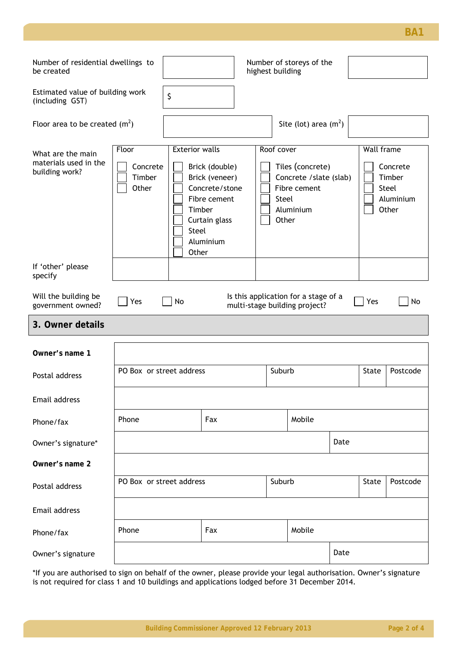**BA1**

| Number of residential dwellings to<br>be created             |                                      | Number of storeys of the<br>highest building      |                                                                                                  |        |                                                                                                          |      |                   |                                                   |
|--------------------------------------------------------------|--------------------------------------|---------------------------------------------------|--------------------------------------------------------------------------------------------------|--------|----------------------------------------------------------------------------------------------------------|------|-------------------|---------------------------------------------------|
| Estimated value of building work<br>(including GST)          |                                      | \$                                                |                                                                                                  |        |                                                                                                          |      |                   |                                                   |
| Floor area to be created $(m2)$                              |                                      |                                                   |                                                                                                  |        | Site (lot) area $(m2)$                                                                                   |      |                   |                                                   |
| What are the main<br>materials used in the<br>building work? | Floor<br>Concrete<br>Timber<br>Other | <b>Exterior walls</b><br>Timber<br>Steel<br>Other | Brick (double)<br>Brick (veneer)<br>Concrete/stone<br>Fibre cement<br>Curtain glass<br>Aluminium |        | Roof cover<br>Tiles (concrete)<br>Concrete / slate (slab)<br>Fibre cement<br>Steel<br>Aluminium<br>Other |      | <b>Wall frame</b> | Concrete<br>Timber<br>Steel<br>Aluminium<br>Other |
| If 'other' please<br>specify                                 |                                      |                                                   |                                                                                                  |        |                                                                                                          |      |                   |                                                   |
| Will the building be<br>government owned?                    | Yes                                  | No                                                |                                                                                                  |        | Is this application for a stage of a<br>multi-stage building project?                                    |      | Yes               | No                                                |
| 3. Owner details                                             |                                      |                                                   |                                                                                                  |        |                                                                                                          |      |                   |                                                   |
| Owner's name 1                                               |                                      |                                                   |                                                                                                  |        |                                                                                                          |      |                   |                                                   |
| Postal address                                               | PO Box or street address             |                                                   |                                                                                                  | Suburb |                                                                                                          |      | State             | Postcode                                          |
| Email address                                                |                                      |                                                   |                                                                                                  |        |                                                                                                          |      |                   |                                                   |
| Phone/fax                                                    | Phone                                |                                                   | Fax                                                                                              |        | Mobile                                                                                                   |      |                   |                                                   |
| Owner's signature*                                           |                                      |                                                   |                                                                                                  |        |                                                                                                          | Date |                   |                                                   |
| Owner's name 2                                               |                                      |                                                   |                                                                                                  |        |                                                                                                          |      |                   |                                                   |
| Postal address                                               | PO Box or street address             |                                                   |                                                                                                  |        | Suburb                                                                                                   |      | State             | Postcode                                          |
| Email address                                                |                                      |                                                   |                                                                                                  |        |                                                                                                          |      |                   |                                                   |
| Phone/fax                                                    | Phone                                |                                                   | Fax                                                                                              |        | Mobile                                                                                                   |      |                   |                                                   |
| Owner's signature                                            |                                      |                                                   |                                                                                                  |        |                                                                                                          | Date |                   |                                                   |

\*If you are authorised to sign on behalf of the owner, please provide your legal authorisation. Owner's signature is not required for class 1 and 10 buildings and applications lodged before 31 December 2014.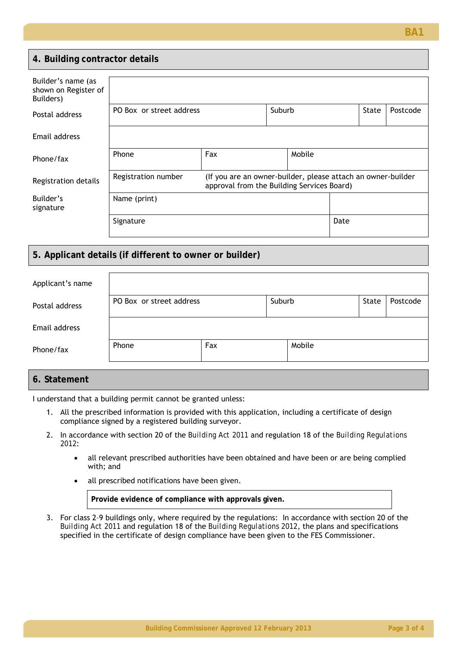#### **4. Building contractor details**

| Builder's name (as<br>shown on Register of<br>Builders) |                          |                                                                                                            |        |        |       |          |  |
|---------------------------------------------------------|--------------------------|------------------------------------------------------------------------------------------------------------|--------|--------|-------|----------|--|
| Postal address                                          | PO Box or street address |                                                                                                            | Suburb |        | State | Postcode |  |
| Email address                                           |                          |                                                                                                            |        |        |       |          |  |
| Phone/fax                                               | Phone                    | Fax                                                                                                        |        | Mobile |       |          |  |
| Registration details                                    | Registration number      | (If you are an owner-builder, please attach an owner-builder<br>approval from the Building Services Board) |        |        |       |          |  |
| Builder's<br>signature                                  | Name (print)             |                                                                                                            |        |        |       |          |  |
|                                                         | Signature                |                                                                                                            |        |        | Date  |          |  |

#### **5. Applicant details (if different to owner or builder)**

| Applicant's name |                          |     |  |        |  |          |
|------------------|--------------------------|-----|--|--------|--|----------|
| Postal address   | PO Box or street address |     |  | Suburb |  | Postcode |
| Email address    |                          |     |  |        |  |          |
| Phone/fax        | Phone                    | Fax |  | Mobile |  |          |

#### **6. Statement**

I understand that a building permit cannot be granted unless:

- 1. All the prescribed information is provided with this application, including a certificate of design compliance signed by a registered building surveyor.
- 2. In accordance with section 20 of the *Building Act 2011* and regulation 18 of the *Building Regulations 2012*:
	- all relevant prescribed authorities have been obtained and have been or are being complied with; and
	- all prescribed notifications have been given.

**Provide evidence of compliance with approvals given.** 

3. For class 2–9 buildings only, where required by the regulations: In accordance with section 20 of the *Building Act 2011* and regulation 18 of the *Building Regulations 2012*, the plans and specifications specified in the certificate of design compliance have been given to the FES Commissioner.